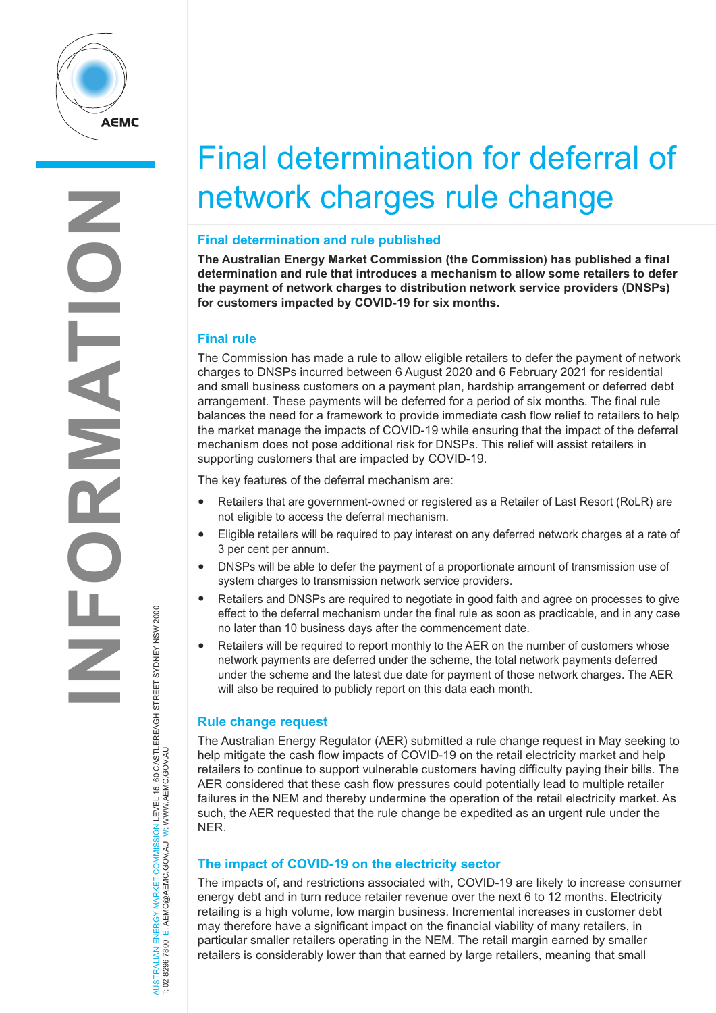

# Final determination for deferral of network charges rule change

#### **Final determination and rule published**

**The Australian Energy Market Commission (the Commission) has published a final determination and rule that introduces a mechanism to allow some retailers to defer the payment of network charges to distribution network service providers (DNSPs) for customers impacted by COVID-19 for six months.**

## **Final rule**

The Commission has made a rule to allow eligible retailers to defer the payment of network charges to DNSPs incurred between 6 August 2020 and 6 February 2021 for residential and small business customers on a payment plan, hardship arrangement or deferred debt arrangement. These payments will be deferred for a period of six months. The final rule balances the need for a framework to provide immediate cash flow relief to retailers to help the market manage the impacts of COVID-19 while ensuring that the impact of the deferral mechanism does not pose additional risk for DNSPs. This relief will assist retailers in supporting customers that are impacted by COVID-19.

The key features of the deferral mechanism are:

- Retailers that are government-owned or registered as a Retailer of Last Resort (RoLR) are not eligible to access the deferral mechanism.
- Eligible retailers will be required to pay interest on any deferred network charges at a rate of 3 per cent per annum.
- DNSPs will be able to defer the payment of a proportionate amount of transmission use of system charges to transmission network service providers.
- Retailers and DNSPs are required to negotiate in good faith and agree on processes to give effect to the deferral mechanism under the final rule as soon as practicable, and in any case no later than 10 business days after the commencement date.
- Retailers will be required to report monthly to the AER on the number of customers whose network payments are deferred under the scheme, the total network payments deferred under the scheme and the latest due date for payment of those network charges. The AER will also be required to publicly report on this data each month.

## **Rule change request**

The Australian Energy Regulator (AER) submitted a rule change request in May seeking to help mitigate the cash flow impacts of COVID-19 on the retail electricity market and help retailers to continue to support vulnerable customers having difficulty paying their bills. The AER considered that these cash flow pressures could potentially lead to multiple retailer failures in the NEM and thereby undermine the operation of the retail electricity market. As such, the AER requested that the rule change be expedited as an urgent rule under the NER.

## **The impact of COVID-19 on the electricity sector**

The impacts of, and restrictions associated with, COVID-19 are likely to increase consumer energy debt and in turn reduce retailer revenue over the next 6 to 12 months. Electricity retailing is a high volume, low margin business. Incremental increases in customer debt may therefore have a significant impact on the financial viability of many retailers, in particular smaller retailers operating in the NEM. The retail margin earned by smaller retailers is considerably lower than that earned by large retailers, meaning that small

AUSTRALIAN ENERGY MARKET COMMISSION LEVEL 15, 60 CASTLEREAGH STREET SYDNEY NSW 2000<br>T: 02 8296 7800 E: AEMC@AEMC.GOV.AU W: WWW.AEMC.GOV.AU AUSTRALIAN ENERGY MARKET COMMISSION LEVEL 15, 60 CASTLEREAGH STREET SYDNEY NSW 2000 T: 02 8296 7800 E: AEMC@AEMC.GOV.AU W: WWW.AEMC.GOV.AU